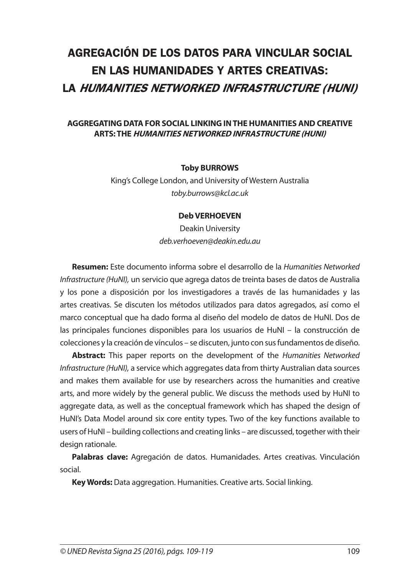# **AGREGACIÓN DE LOS DATOS PARA VINCULAR SOCIAL EN LAS HUMANIDADES Y ARTES CREATIVAS: LA HUMANITIES NETWORKED INFRASTRUCTURE (HUNI)**

#### **AGGREGATING DATA FOR SOCIAL LINKING IN THE HUMANITIES AND CREATIVE ARTS: THE HUMANITIES NETWORKED INFRASTRUCTURE (HUNI)**

#### **Toby BURROWS**

King's College London, and University of Western Australia *toby.burrows@kcl.ac.uk*

#### **Deb VERHOEVEN**

Deakin University *deb.verhoeven@deakin.edu.au*

**Resumen:** Este documento informa sobre el desarrollo de la *Humanities Networked Infrastructure (HuNI),* un servicio que agrega datos de treinta bases de datos de Australia y los pone a disposición por los investigadores a través de las humanidades y las artes creativas. Se discuten los métodos utilizados para datos agregados, así como el marco conceptual que ha dado forma al diseño del modelo de datos de HuNI. Dos de las principales funciones disponibles para los usuarios de HuNI – la construcción de colecciones y la creación de vínculos – se discuten, junto con sus fundamentos de diseño.

**Abstract:** This paper reports on the development of the *Humanities Networked Infrastructure (HuNI),* a service which aggregates data from thirty Australian data sources and makes them available for use by researchers across the humanities and creative arts, and more widely by the general public. We discuss the methods used by HuNI to aggregate data, as well as the conceptual framework which has shaped the design of HuNI's Data Model around six core entity types. Two of the key functions available to users of HuNI – building collections and creating links – are discussed, together with their design rationale.

**Palabras clave:** Agregación de datos. Humanidades. Artes creativas. Vinculación social.

**Key Words:** Data aggregation. Humanities. Creative arts. Social linking.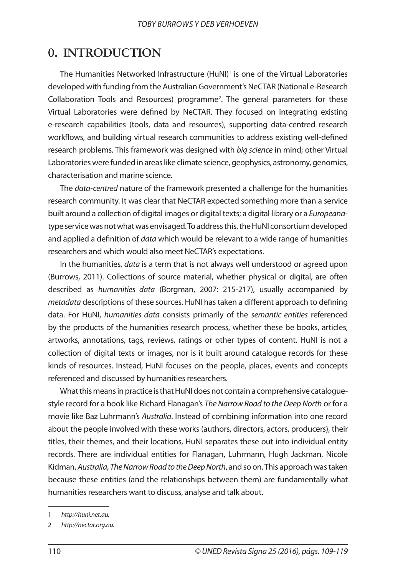### **0. INTRODUCTION**

The Humanities Networked Infrastructure (HuNI)<sup>1</sup> is one of the Virtual Laboratories developed with funding from the Australian Government's NeCTAR (National e-Research Collaboration Tools and Resources) programme<sup>2</sup>. The general parameters for these Virtual Laboratories were defined by NeCTAR. They focused on integrating existing e-research capabilities (tools, data and resources), supporting data-centred research workflows, and building virtual research communities to address existing well-defined research problems. This framework was designed with *big science* in mind; other Virtual Laboratories were funded in areas like climate science, geophysics, astronomy, genomics, characterisation and marine science.

The *data-centred* nature of the framework presented a challenge for the humanities research community. It was clear that NeCTAR expected something more than a service built around a collection of digital images or digital texts; a digital library or a *Europeana*type service was not what was envisaged. To address this, the HuNI consortium developed and applied a definition of *data* which would be relevant to a wide range of humanities researchers and which would also meet NeCTAR's expectations.

In the humanities, *data* is a term that is not always well understood or agreed upon (Burrows, 2011). Collections of source material, whether physical or digital, are often described as *humanities data* (Borgman, 2007: 215-217), usually accompanied by *metadata* descriptions of these sources. HuNI has taken a different approach to defining data. For HuNI, *humanities data* consists primarily of the *semantic entities* referenced by the products of the humanities research process, whether these be books, articles, artworks, annotations, tags, reviews, ratings or other types of content. HuNI is not a collection of digital texts or images, nor is it built around catalogue records for these kinds of resources. Instead, HuNI focuses on the people, places, events and concepts referenced and discussed by humanities researchers.

What this means in practice is that HuNI does not contain a comprehensive cataloguestyle record for a book like Richard Flanagan's *The Narrow Road to the Deep North* or for a movie like Baz Luhrmann's *Australia*. Instead of combining information into one record about the people involved with these works (authors, directors, actors, producers), their titles, their themes, and their locations, HuNI separates these out into individual entity records. There are individual entities for Flanagan, Luhrmann, Hugh Jackman, Nicole Kidman, *Australia*, *The Narrow Road to the Deep North*, and so on. This approach was taken because these entities (and the relationships between them) are fundamentally what humanities researchers want to discuss, analyse and talk about.

<sup>1</sup> *http://huni.net.au.*

<sup>2</sup> *http://nectar.org.au.*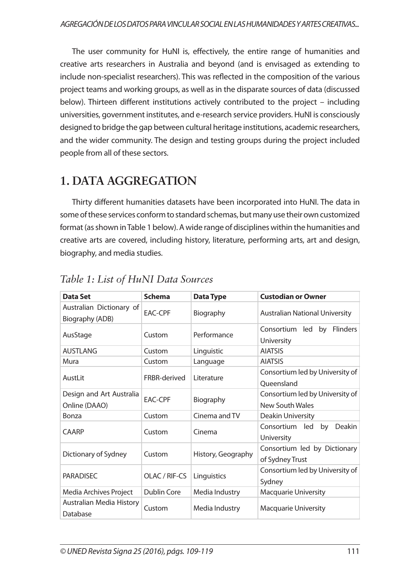The user community for HuNI is, effectively, the entire range of humanities and creative arts researchers in Australia and beyond (and is envisaged as extending to include non-specialist researchers). This was reflected in the composition of the various project teams and working groups, as well as in the disparate sources of data (discussed below). Thirteen different institutions actively contributed to the project – including universities, government institutes, and e-research service providers. HuNI is consciously designed to bridge the gap between cultural heritage institutions, academic researchers, and the wider community. The design and testing groups during the project included people from all of these sectors.

## **1. DATA AGGREGATION**

Thirty different humanities datasets have been incorporated into HuNI. The data in some of these services conform to standard schemas, but many use their own customized format (as shown in Table 1 below). A wide range of disciplines within the humanities and creative arts are covered, including history, literature, performing arts, art and design, biography, and media studies.

| Data Set                                    | <b>Schema</b>  | <b>Data Type</b>   | <b>Custodian or Owner</b>                           |
|---------------------------------------------|----------------|--------------------|-----------------------------------------------------|
| Australian Dictionary of<br>Biography (ADB) | <b>EAC-CPF</b> | Biography          | <b>Australian National University</b>               |
| AusStage                                    | Custom         | Performance        | by Flinders<br>Consortium led<br>University         |
| <b>AUSTLANG</b>                             | Custom         | Linguistic         | <b>AIATSIS</b>                                      |
| Mura                                        | Custom         | Language           | <b>AIATSIS</b>                                      |
| AustLit                                     | FRBR-derived   | Literature         | Consortium led by University of<br>Oueensland       |
| Design and Art Australia<br>Online (DAAO)   | FAC-CPF        | Biography          | Consortium led by University of<br>New South Wales  |
| Bonza                                       | Custom         | Cinema and TV      | Deakin University                                   |
| <b>CAARP</b>                                | Custom         | Cinema             | Consortium led<br>by<br><b>Deakin</b><br>University |
| Dictionary of Sydney                        | Custom         | History, Geography | Consortium led by Dictionary<br>of Sydney Trust     |
| <b>PARADISEC</b>                            | OLAC / RIF-CS  | Linguistics        | Consortium led by University of<br>Sydney           |
| Media Archives Project                      | Dublin Core    | Media Industry     | <b>Macquarie University</b>                         |
| Australian Media History<br>Database        | Custom         | Media Industry     | <b>Macquarie University</b>                         |

### *Table 1: List of HuNI Data Sources*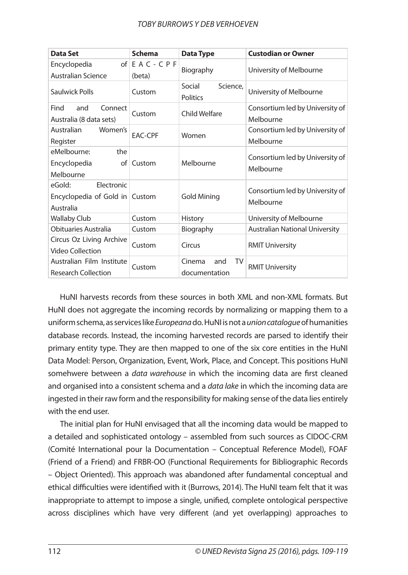| Data Set                                                            | <b>Schema</b>                | <b>Data Type</b>                      | <b>Custodian or Owner</b>                    |
|---------------------------------------------------------------------|------------------------------|---------------------------------------|----------------------------------------------|
| Encyclopedia<br><b>Australian Science</b>                           | of $E$ A C - C P F<br>(beta) | Biography                             | University of Melbourne                      |
| Saulwick Polls                                                      | Custom                       | Social<br>Science,<br><b>Politics</b> | University of Melbourne                      |
| Connect<br>Find<br>and<br>Australia (8 data sets)                   | Custom                       | Child Welfare                         | Consortium led by University of<br>Melbourne |
| Australian<br>Women's<br>Register                                   | <b>EAC-CPF</b>               | Women                                 | Consortium led by University of<br>Melbourne |
| eMelbourne:<br>the<br>Encyclopedia<br>of l<br>Melbourne             | Custom                       | Melbourne                             | Consortium led by University of<br>Melbourne |
| Flectronic<br>eGold:<br>Encyclopedia of Gold in Custom<br>Australia |                              | <b>Gold Mining</b>                    | Consortium led by University of<br>Melbourne |
| <b>Wallaby Club</b>                                                 | Custom                       | <b>History</b>                        | University of Melbourne                      |
| Obituaries Australia                                                | Custom                       | Biography                             | <b>Australian National University</b>        |
| Circus Oz Living Archive<br>Video Collection                        | Custom                       | Circus                                | <b>RMIT University</b>                       |
| Australian Film Institute<br><b>Research Collection</b>             | Custom                       | TV<br>and<br>Cinema<br>documentation  | <b>RMIT University</b>                       |

HuNI harvests records from these sources in both XML and non-XML formats. But HuNI does not aggregate the incoming records by normalizing or mapping them to a uniform schema, as services like *Europeana* do. HuNI is not a *union catalogue* of humanities database records. Instead, the incoming harvested records are parsed to identify their primary entity type. They are then mapped to one of the six core entities in the HuNI Data Model: Person, Organization, Event, Work, Place, and Concept. This positions HuNI somehwere between a *data warehouse* in which the incoming data are first cleaned and organised into a consistent schema and a *data lake* in which the incoming data are ingested in their raw form and the responsibility for making sense of the data lies entirely with the end user.

The initial plan for HuNI envisaged that all the incoming data would be mapped to a detailed and sophisticated ontology – assembled from such sources as CIDOC-CRM (Comité International pour la Documentation – Conceptual Reference Model), FOAF (Friend of a Friend) and FRBR-OO (Functional Requirements for Bibliographic Records – Object Oriented). This approach was abandoned after fundamental conceptual and ethical difficulties were identified with it (Burrows, 2014). The HuNI team felt that it was inappropriate to attempt to impose a single, unified, complete ontological perspective across disciplines which have very different (and yet overlapping) approaches to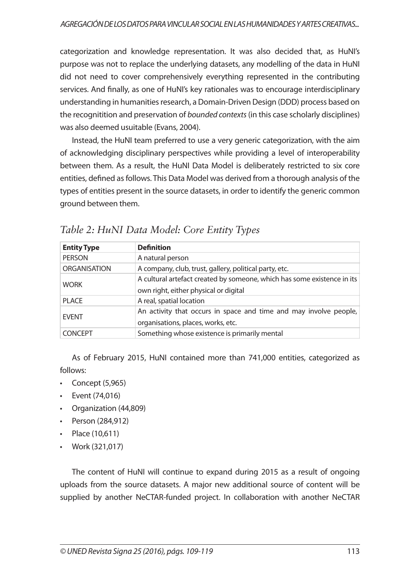categorization and knowledge representation. It was also decided that, as HuNI's purpose was not to replace the underlying datasets, any modelling of the data in HuNI did not need to cover comprehensively everything represented in the contributing services. And finally, as one of HuNI's key rationales was to encourage interdisciplinary understanding in humanities research, a Domain-Driven Design (DDD) process based on the recognitition and preservation of *bounded contexts* (in this case scholarly disciplines) was also deemed usuitable (Evans, 2004).

Instead, the HuNI team preferred to use a very generic categorization, with the aim of acknowledging disciplinary perspectives while providing a level of interoperability between them. As a result, the HuNI Data Model is deliberately restricted to six core entities, defined as follows. This Data Model was derived from a thorough analysis of the types of entities present in the source datasets, in order to identify the generic common ground between them.

| <b>Entity Type</b>  | <b>Definition</b>                                                                                                |
|---------------------|------------------------------------------------------------------------------------------------------------------|
| <b>PERSON</b>       | A natural person                                                                                                 |
| <b>ORGANISATION</b> | A company, club, trust, gallery, political party, etc.                                                           |
| <b>WORK</b>         | A cultural artefact created by someone, which has some existence in its<br>own right, either physical or digital |
| <b>PLACE</b>        | A real, spatial location                                                                                         |
| <b>EVENT</b>        | An activity that occurs in space and time and may involve people,<br>organisations, places, works, etc.          |
| <b>CONCEPT</b>      | Something whose existence is primarily mental                                                                    |

*Table 2: HuNI Data Model: Core Entity Types*

As of February 2015, HuNI contained more than 741,000 entities, categorized as follows:

- $\cdot$  Concept (5,965)
- Event (74,016)
- Organization (44,809)
- Person (284,912)
- Place (10,611)
- Work (321,017)

The content of HuNI will continue to expand during 2015 as a result of ongoing uploads from the source datasets. A major new additional source of content will be supplied by another NeCTAR-funded project. In collaboration with another NeCTAR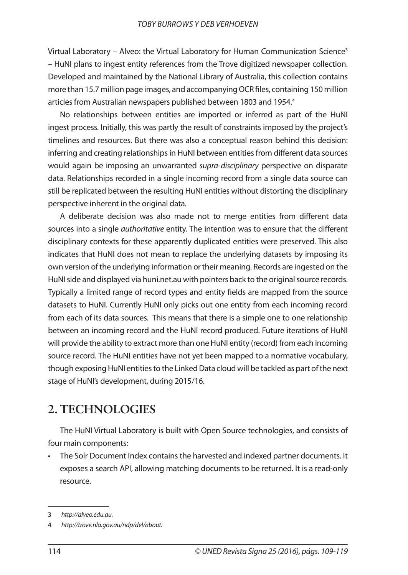Virtual Laboratory – Alveo: the Virtual Laboratory for Human Communication Science<sup>3</sup> – HuNI plans to ingest entity references from the Trove digitized newspaper collection. Developed and maintained by the National Library of Australia, this collection contains more than 15.7 million page images, and accompanying OCR files, containing 150 million articles from Australian newspapers published between 1803 and 1954.<sup>4</sup>

No relationships between entities are imported or inferred as part of the HuNI ingest process. Initially, this was partly the result of constraints imposed by the project's timelines and resources. But there was also a conceptual reason behind this decision: inferring and creating relationships in HuNI between entities from different data sources would again be imposing an unwarranted *supra-disciplinary* perspective on disparate data. Relationships recorded in a single incoming record from a single data source can still be replicated between the resulting HuNI entities without distorting the disciplinary perspective inherent in the original data.

A deliberate decision was also made not to merge entities from different data sources into a single *authoritative* entity. The intention was to ensure that the different disciplinary contexts for these apparently duplicated entities were preserved. This also indicates that HuNI does not mean to replace the underlying datasets by imposing its own version of the underlying information or their meaning. Records are ingested on the HuNI side and displayed via huni.net.au with pointers back to the original source records. Typically a limited range of record types and entity fields are mapped from the source datasets to HuNI. Currently HuNI only picks out one entity from each incoming record from each of its data sources. This means that there is a simple one to one relationship between an incoming record and the HuNI record produced. Future iterations of HuNI will provide the ability to extract more than one HuNI entity (record) from each incoming source record. The HuNI entities have not yet been mapped to a normative vocabulary, though exposing HuNI entities to the Linked Data cloud will be tackled as part of the next stage of HuNI's development, during 2015/16.

## **2. TECHNOLOGIES**

The HuNI Virtual Laboratory is built with Open Source technologies, and consists of four main components:

• The Solr Document Index contains the harvested and indexed partner documents. It exposes a search API, allowing matching documents to be returned. It is a read-only resource.

<sup>3</sup> *http://alveo.edu.au.* 

<sup>4</sup> *http://trove.nla.gov.au/ndp/del/about.*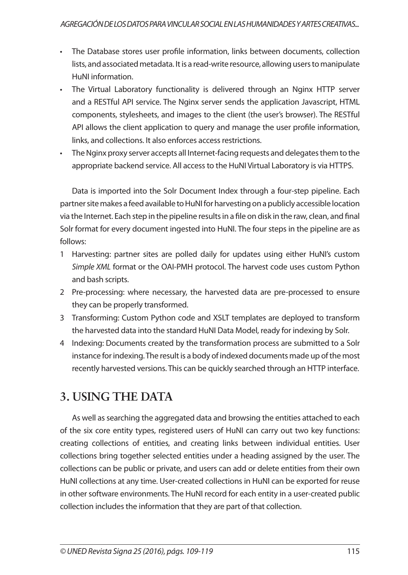- The Database stores user profile information, links between documents, collection lists, and associated metadata. It is a read-write resource, allowing users to manipulate HuNI information.
- The Virtual Laboratory functionality is delivered through an Nginx HTTP server and a RESTful API service. The Nginx server sends the application Javascript, HTML components, stylesheets, and images to the client (the user's browser). The RESTful API allows the client application to query and manage the user profile information, links, and collections. It also enforces access restrictions.
- The Nginx proxy server accepts all Internet-facing requests and delegates them to the appropriate backend service. All access to the HuNI Virtual Laboratory is via HTTPS.

Data is imported into the Solr Document Index through a four-step pipeline. Each partner site makes a feed available to HuNI for harvesting on a publicly accessible location via the Internet. Each step in the pipeline results in a file on disk in the raw, clean, and final Solr format for every document ingested into HuNI. The four steps in the pipeline are as follows:

- 1 Harvesting: partner sites are polled daily for updates using either HuNI's custom *Simple XML* format or the OAI-PMH protocol. The harvest code uses custom Python and bash scripts.
- 2 Pre-processing: where necessary, the harvested data are pre-processed to ensure they can be properly transformed.
- 3 Transforming: Custom Python code and XSLT templates are deployed to transform the harvested data into the standard HuNI Data Model, ready for indexing by Solr.
- 4 Indexing: Documents created by the transformation process are submitted to a Solr instance for indexing. The result is a body of indexed documents made up of the most recently harvested versions. This can be quickly searched through an HTTP interface.

## **3. USING THE DATA**

As well as searching the aggregated data and browsing the entities attached to each of the six core entity types, registered users of HuNI can carry out two key functions: creating collections of entities, and creating links between individual entities. User collections bring together selected entities under a heading assigned by the user. The collections can be public or private, and users can add or delete entities from their own HuNI collections at any time. User-created collections in HuNI can be exported for reuse in other software environments. The HuNI record for each entity in a user-created public collection includes the information that they are part of that collection.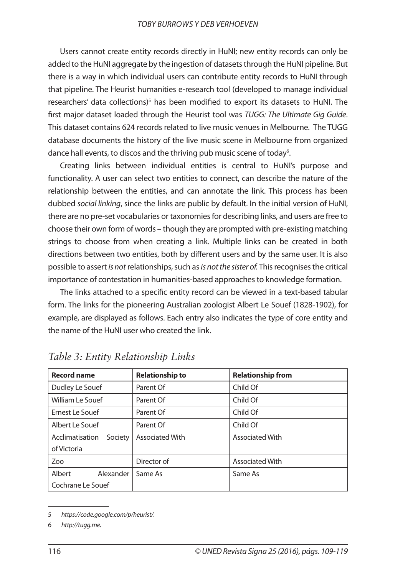Users cannot create entity records directly in HuNI; new entity records can only be added to the HuNI aggregate by the ingestion of datasets through the HuNI pipeline. But there is a way in which individual users can contribute entity records to HuNI through that pipeline. The Heurist humanities e-research tool (developed to manage individual researchers' data collections)<sup>5</sup> has been modified to export its datasets to HuNI. The first major dataset loaded through the Heurist tool was *TUGG: The Ultimate Gig Guide*. This dataset contains 624 records related to live music venues in Melbourne. The TUGG database documents the history of the live music scene in Melbourne from organized dance hall events, to discos and the thriving pub music scene of today<sup>6</sup>.

Creating links between individual entities is central to HuNI's purpose and functionality. A user can select two entities to connect, can describe the nature of the relationship between the entities, and can annotate the link. This process has been dubbed *social linking*, since the links are public by default. In the initial version of HuNI, there are no pre-set vocabularies or taxonomies for describing links, and users are free to choose their own form of words – though they are prompted with pre-existing matching strings to choose from when creating a link. Multiple links can be created in both directions between two entities, both by different users and by the same user. It is also possible to assert *is not* relationships, such as *is not the sister of.* This recognises the critical importance of contestation in humanities-based approaches to knowledge formation.

The links attached to a specific entity record can be viewed in a text-based tabular form. The links for the pioneering Australian zoologist Albert Le Souef (1828-1902), for example, are displayed as follows. Each entry also indicates the type of core entity and the name of the HuNI user who created the link.

| <b>Record name</b>         | <b>Relationship to</b> | <b>Relationship from</b> |
|----------------------------|------------------------|--------------------------|
| Dudley Le Souef            | Parent Of              | Child Of                 |
| William Le Souef           | Parent Of              | Child Of                 |
| Ernest Le Souef            | Parent Of              | Child Of                 |
| Albert Le Souef            | Parent Of              | Child Of                 |
| Society<br>Acclimatisation | <b>Associated With</b> | <b>Associated With</b>   |
| of Victoria                |                        |                          |
| Zoo                        | Director of            | <b>Associated With</b>   |
| Albert<br>Alexander        | Same As                | Same As                  |
| Cochrane Le Souef          |                        |                          |

*Table 3: Entity Relationship Links*

<sup>5</sup> *https://code.google.com/p/heurist/.*

<sup>6</sup> *http://tugg.me.*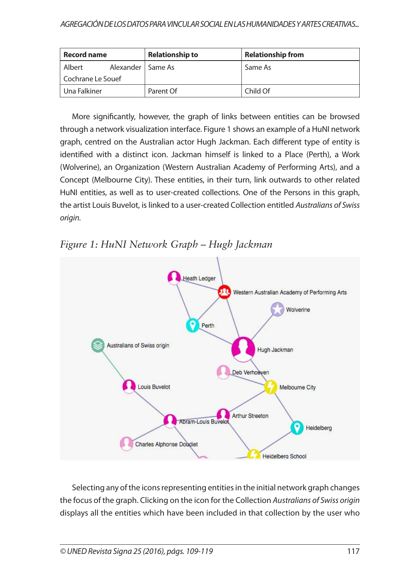| <b>Record name</b>            | <b>Relationship to</b> | <b>Relationship from</b> |
|-------------------------------|------------------------|--------------------------|
| Alexander   Same As<br>Albert |                        | Same As                  |
| Cochrane Le Souef             |                        |                          |
| l Una Falkiner                | Parent Of              | Child Of                 |

More significantly, however, the graph of links between entities can be browsed through a network visualization interface. Figure 1 shows an example of a HuNI network graph, centred on the Australian actor Hugh Jackman. Each different type of entity is identified with a distinct icon. Jackman himself is linked to a Place (Perth), a Work (Wolverine), an Organization (Western Australian Academy of Performing Arts), and a Concept (Melbourne City). These entities, in their turn, link outwards to other related HuNI entities, as well as to user-created collections. One of the Persons in this graph, the artist Louis Buvelot, is linked to a user-created Collection entitled *Australians of Swiss origin.*





Selecting any of the icons representing entities in the initial network graph changes the focus of the graph. Clicking on the icon for the Collection *Australians of Swiss origin* displays all the entities which have been included in that collection by the user who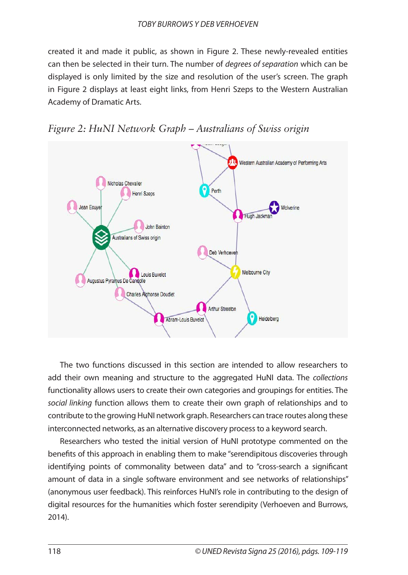created it and made it public, as shown in Figure 2. These newly-revealed entities can then be selected in their turn. The number of *degrees of separation* which can be displayed is only limited by the size and resolution of the user's screen. The graph in Figure 2 displays at least eight links, from Henri Szeps to the Western Australian Academy of Dramatic Arts.





The two functions discussed in this section are intended to allow researchers to add their own meaning and structure to the aggregated HuNI data. The *collections* functionality allows users to create their own categories and groupings for entities. The *social linking* function allows them to create their own graph of relationships and to contribute to the growing HuNI network graph. Researchers can trace routes along these interconnected networks, as an alternative discovery process to a keyword search.

Researchers who tested the initial version of HuNI prototype commented on the benefits of this approach in enabling them to make "serendipitous discoveries through identifying points of commonality between data" and to "cross-search a significant amount of data in a single software environment and see networks of relationships" (anonymous user feedback). This reinforces HuNI's role in contributing to the design of digital resources for the humanities which foster serendipity (Verhoeven and Burrows, 2014).